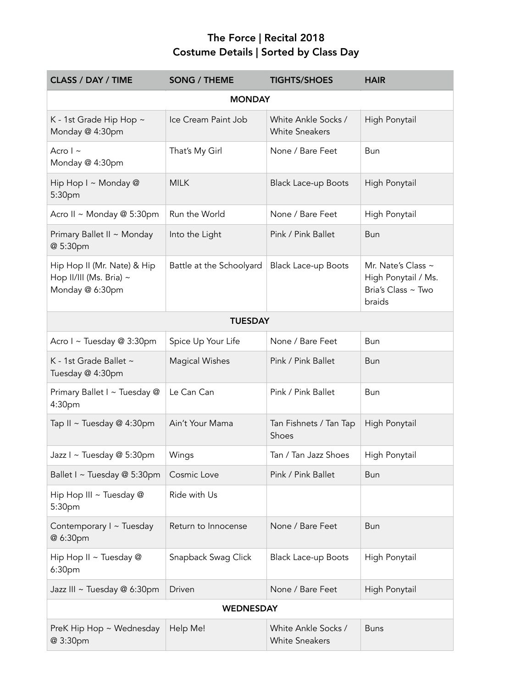## The Force | Recital 2018 Costume Details | Sorted by Class Day

| <b>CLASS / DAY / TIME</b>                                                 | <b>SONG / THEME</b>      | <b>TIGHTS/SHOES</b>                          | <b>HAIR</b>                                                               |  |
|---------------------------------------------------------------------------|--------------------------|----------------------------------------------|---------------------------------------------------------------------------|--|
| <b>MONDAY</b>                                                             |                          |                                              |                                                                           |  |
| K - 1st Grade Hip Hop ~<br>Monday @ 4:30pm                                | Ice Cream Paint Job      | White Ankle Socks /<br><b>White Sneakers</b> | High Ponytail                                                             |  |
| Acro $\vert \sim$<br>Monday @ 4:30pm                                      | That's My Girl           | None / Bare Feet                             | Bun                                                                       |  |
| Hip Hop I ~ Monday @<br>5:30pm                                            | <b>MILK</b>              | <b>Black Lace-up Boots</b>                   | High Ponytail                                                             |  |
| Acro II ~ Monday @ 5:30pm                                                 | Run the World            | None / Bare Feet                             | High Ponytail                                                             |  |
| Primary Ballet II ~ Monday<br>@ 5:30pm                                    | Into the Light           | Pink / Pink Ballet                           | Bun                                                                       |  |
| Hip Hop II (Mr. Nate) & Hip<br>Hop II/III (Ms. Bria) ~<br>Monday @ 6:30pm | Battle at the Schoolyard | <b>Black Lace-up Boots</b>                   | Mr. Nate's Class ~<br>High Ponytail / Ms.<br>Bria's Class ~ Two<br>braids |  |
| <b>TUESDAY</b>                                                            |                          |                                              |                                                                           |  |
| Acro I ~ Tuesday @ 3:30pm                                                 | Spice Up Your Life       | None / Bare Feet                             | Bun                                                                       |  |
| K - 1st Grade Ballet ~<br>Tuesday @ 4:30pm                                | <b>Magical Wishes</b>    | Pink / Pink Ballet                           | <b>Bun</b>                                                                |  |
| Primary Ballet I ~ Tuesday @<br>4:30pm                                    | Le Can Can               | Pink / Pink Ballet                           | Bun                                                                       |  |
| Tap II ~ Tuesday @ 4:30pm                                                 | Ain't Your Mama          | Tan Fishnets / Tan Tap<br>Shoes              | High Ponytail                                                             |  |
| Jazz I ~ Tuesday @ 5:30pm                                                 | Wings                    | Tan / Tan Jazz Shoes                         | High Ponytail                                                             |  |
| Ballet I ~ Tuesday @ 5:30pm                                               | Cosmic Love              | Pink / Pink Ballet                           | Bun                                                                       |  |
| Hip Hop III ~ Tuesday @<br>5:30pm                                         | Ride with Us             |                                              |                                                                           |  |
| Contemporary I ~ Tuesday<br>@ 6:30pm                                      | Return to Innocense      | None / Bare Feet                             | Bun                                                                       |  |
| Hip Hop II ~ Tuesday @<br>6:30pm                                          | Snapback Swag Click      | <b>Black Lace-up Boots</b>                   | High Ponytail                                                             |  |
| Jazz III ~ Tuesday @ 6:30pm                                               | Driven                   | None / Bare Feet                             | High Ponytail                                                             |  |
| <b>WEDNESDAY</b>                                                          |                          |                                              |                                                                           |  |
| PreK Hip Hop ~ Wednesday<br>@ 3:30pm                                      | Help Me!                 | White Ankle Socks /<br><b>White Sneakers</b> | <b>Buns</b>                                                               |  |